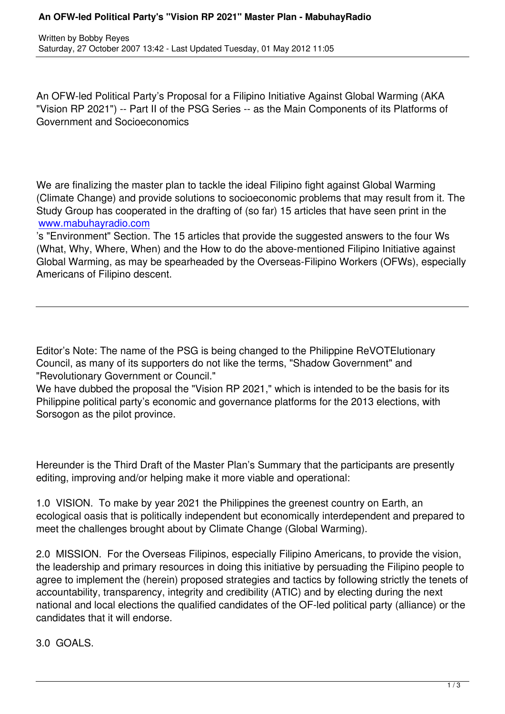An OFW-led Political Party's Proposal for a Filipino Initiative Against Global Warming (AKA "Vision RP 2021") -- Part II of the PSG Series -- as the Main Components of its Platforms of Government and Socioeconomics

We are finalizing the master plan to tackle the ideal Filipino fight against Global Warming (Climate Change) and provide solutions to socioeconomic problems that may result from it. The Study Group has cooperated in the drafting of (so far) 15 articles that have seen print in the www.mabuhayradio.com

's "Environment" Section. The 15 articles that provide the suggested answers to the four Ws (What, Why, Where, When) and the How to do the above-mentioned Filipino Initiative against [Global Warming, as may](http://www.mabuhayradio.com/t_blank) be spearheaded by the Overseas-Filipino Workers (OFWs), especially Americans of Filipino descent.

Editor's Note: The name of the PSG is being changed to the Philippine ReVOTElutionary Council, as many of its supporters do not like the terms, "Shadow Government" and "Revolutionary Government or Council."

We have dubbed the proposal the "Vision RP 2021," which is intended to be the basis for its Philippine political party's economic and governance platforms for the 2013 elections, with Sorsogon as the pilot province.

Hereunder is the Third Draft of the Master Plan's Summary that the participants are presently editing, improving and/or helping make it more viable and operational:

1.0 VISION. To make by year 2021 the Philippines the greenest country on Earth, an ecological oasis that is politically independent but economically interdependent and prepared to meet the challenges brought about by Climate Change (Global Warming).

2.0 MISSION. For the Overseas Filipinos, especially Filipino Americans, to provide the vision, the leadership and primary resources in doing this initiative by persuading the Filipino people to agree to implement the (herein) proposed strategies and tactics by following strictly the tenets of accountability, transparency, integrity and credibility (ATIC) and by electing during the next national and local elections the qualified candidates of the OF-led political party (alliance) or the candidates that it will endorse.

3.0 GOALS.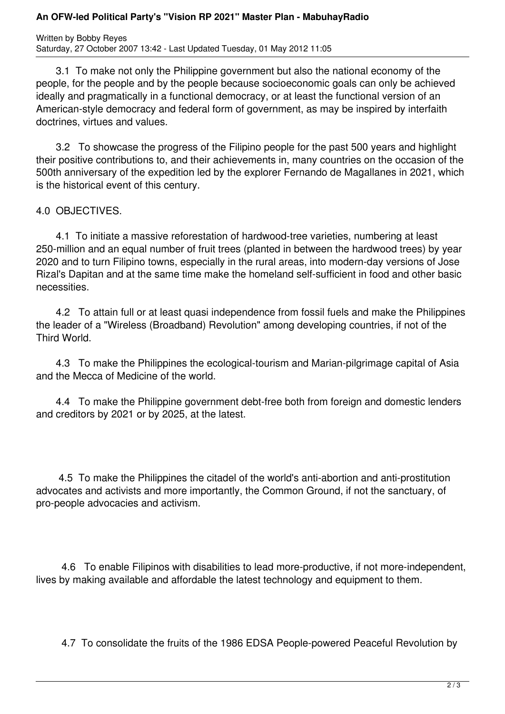## **An OFW-led Political Party's "Vision RP 2021" Master Plan - MabuhayRadio**

Written by Bobby Reyes Saturday, 27 October 2007 13:42 - Last Updated Tuesday, 01 May 2012 11:05

 3.1 To make not only the Philippine government but also the national economy of the people, for the people and by the people because socioeconomic goals can only be achieved ideally and pragmatically in a functional democracy, or at least the functional version of an American-style democracy and federal form of government, as may be inspired by interfaith doctrines, virtues and values.

 3.2 To showcase the progress of the Filipino people for the past 500 years and highlight their positive contributions to, and their achievements in, many countries on the occasion of the 500th anniversary of the expedition led by the explorer Fernando de Magallanes in 2021, which is the historical event of this century.

4.0 OBJECTIVES.

 4.1 To initiate a massive reforestation of hardwood-tree varieties, numbering at least 250-million and an equal number of fruit trees (planted in between the hardwood trees) by year 2020 and to turn Filipino towns, especially in the rural areas, into modern-day versions of Jose Rizal's Dapitan and at the same time make the homeland self-sufficient in food and other basic necessities.

 4.2 To attain full or at least quasi independence from fossil fuels and make the Philippines the leader of a "Wireless (Broadband) Revolution" among developing countries, if not of the Third World.

 4.3 To make the Philippines the ecological-tourism and Marian-pilgrimage capital of Asia and the Mecca of Medicine of the world.

 4.4 To make the Philippine government debt-free both from foreign and domestic lenders and creditors by 2021 or by 2025, at the latest.

 4.5 To make the Philippines the citadel of the world's anti-abortion and anti-prostitution advocates and activists and more importantly, the Common Ground, if not the sanctuary, of pro-people advocacies and activism.

 4.6 To enable Filipinos with disabilities to lead more-productive, if not more-independent, lives by making available and affordable the latest technology and equipment to them.

4.7 To consolidate the fruits of the 1986 EDSA People-powered Peaceful Revolution by